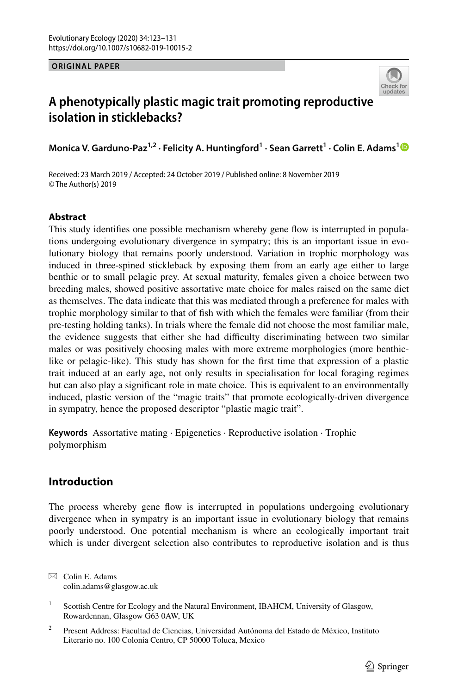**ORIGINAL PAPER**



# **A phenotypically plastic magic trait promoting reproductive isolation in sticklebacks?**

**Monica V. Garduno‑Paz1,2 · Felicity A. Huntingford1 · Sean Garrett1 · Colin E. Adams[1](http://orcid.org/0000-0003-2470-9754)**

Received: 23 March 2019 / Accepted: 24 October 2019 / Published online: 8 November 2019 © The Author(s) 2019

## **Abstract**

This study identifes one possible mechanism whereby gene fow is interrupted in populations undergoing evolutionary divergence in sympatry; this is an important issue in evolutionary biology that remains poorly understood. Variation in trophic morphology was induced in three-spined stickleback by exposing them from an early age either to large benthic or to small pelagic prey. At sexual maturity, females given a choice between two breeding males, showed positive assortative mate choice for males raised on the same diet as themselves. The data indicate that this was mediated through a preference for males with trophic morphology similar to that of fsh with which the females were familiar (from their pre-testing holding tanks). In trials where the female did not choose the most familiar male, the evidence suggests that either she had difculty discriminating between two similar males or was positively choosing males with more extreme morphologies (more benthiclike or pelagic-like). This study has shown for the frst time that expression of a plastic trait induced at an early age, not only results in specialisation for local foraging regimes but can also play a signifcant role in mate choice. This is equivalent to an environmentally induced, plastic version of the "magic traits" that promote ecologically-driven divergence in sympatry, hence the proposed descriptor "plastic magic trait".

**Keywords** Assortative mating · Epigenetics · Reproductive isolation · Trophic polymorphism

# **Introduction**

The process whereby gene fow is interrupted in populations undergoing evolutionary divergence when in sympatry is an important issue in evolutionary biology that remains poorly understood. One potential mechanism is where an ecologically important trait which is under divergent selection also contributes to reproductive isolation and is thus

 $\boxtimes$  Colin E. Adams colin.adams@glasgow.ac.uk

<sup>&</sup>lt;sup>1</sup> Scottish Centre for Ecology and the Natural Environment, IBAHCM, University of Glasgow, Rowardennan, Glasgow G63 0AW, UK

<sup>2</sup> Present Address: Facultad de Ciencias, Universidad Autónoma del Estado de México, Instituto Literario no. 100 Colonia Centro, CP 50000 Toluca, Mexico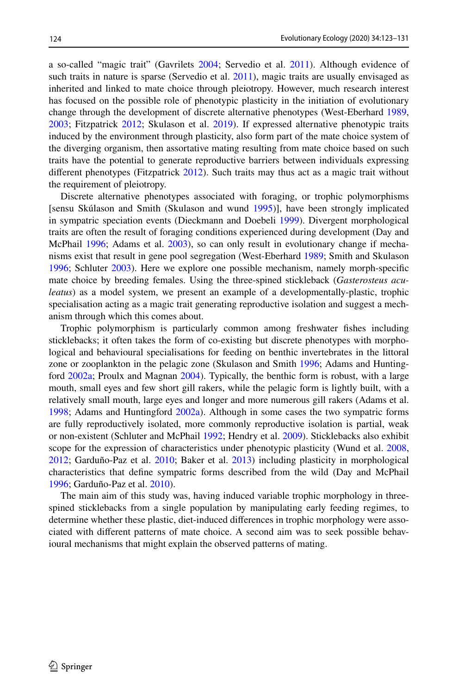a so-called "magic trait" (Gavrilets [2004;](#page-7-0) Servedio et al. [2011](#page-8-0)). Although evidence of such traits in nature is sparse (Servedio et al. [2011\)](#page-8-0), magic traits are usually envisaged as inherited and linked to mate choice through pleiotropy. However, much research interest has focused on the possible role of phenotypic plasticity in the initiation of evolutionary change through the development of discrete alternative phenotypes (West-Eberhard [1989](#page-8-1), [2003;](#page-8-2) Fitzpatrick [2012;](#page-7-1) Skulason et al. [2019\)](#page-8-3). If expressed alternative phenotypic traits induced by the environment through plasticity, also form part of the mate choice system of the diverging organism, then assortative mating resulting from mate choice based on such traits have the potential to generate reproductive barriers between individuals expressing diferent phenotypes (Fitzpatrick [2012\)](#page-7-1). Such traits may thus act as a magic trait without the requirement of pleiotropy.

Discrete alternative phenotypes associated with foraging, or trophic polymorphisms [sensu Skúlason and Smith (Skulason and wund [1995\)](#page-8-4)], have been strongly implicated in sympatric speciation events (Dieckmann and Doebeli [1999](#page-7-2)). Divergent morphological traits are often the result of foraging conditions experienced during development (Day and McPhail [1996;](#page-7-3) Adams et al. [2003](#page-7-4)), so can only result in evolutionary change if mechanisms exist that result in gene pool segregation (West-Eberhard [1989;](#page-8-1) Smith and Skulason [1996;](#page-8-5) Schluter [2003\)](#page-8-6). Here we explore one possible mechanism, namely morph-specifc mate choice by breeding females. Using the three-spined stickleback (*Gasterosteus aculeatus*) as a model system, we present an example of a developmentally-plastic, trophic specialisation acting as a magic trait generating reproductive isolation and suggest a mechanism through which this comes about.

Trophic polymorphism is particularly common among freshwater fshes including sticklebacks; it often takes the form of co-existing but discrete phenotypes with morphological and behavioural specialisations for feeding on benthic invertebrates in the littoral zone or zooplankton in the pelagic zone (Skulason and Smith [1996;](#page-8-7) Adams and Huntingford [2002a](#page-7-5); Proulx and Magnan [2004](#page-8-8)). Typically, the benthic form is robust, with a large mouth, small eyes and few short gill rakers, while the pelagic form is lightly built, with a relatively small mouth, large eyes and longer and more numerous gill rakers (Adams et al. [1998;](#page-7-6) Adams and Huntingford [2002a\)](#page-7-5). Although in some cases the two sympatric forms are fully reproductively isolated, more commonly reproductive isolation is partial, weak or non-existent (Schluter and McPhail [1992;](#page-8-9) Hendry et al. [2009](#page-7-7)). Sticklebacks also exhibit scope for the expression of characteristics under phenotypic plasticity (Wund et al. [2008](#page-8-10), [2012;](#page-8-11) Garduño-Paz et al. [2010](#page-7-8); Baker et al. [2013\)](#page-7-9) including plasticity in morphological characteristics that defne sympatric forms described from the wild (Day and McPhail [1996;](#page-7-3) Garduño-Paz et al. [2010\)](#page-7-8).

The main aim of this study was, having induced variable trophic morphology in threespined sticklebacks from a single population by manipulating early feeding regimes, to determine whether these plastic, diet-induced diferences in trophic morphology were associated with diferent patterns of mate choice. A second aim was to seek possible behavioural mechanisms that might explain the observed patterns of mating.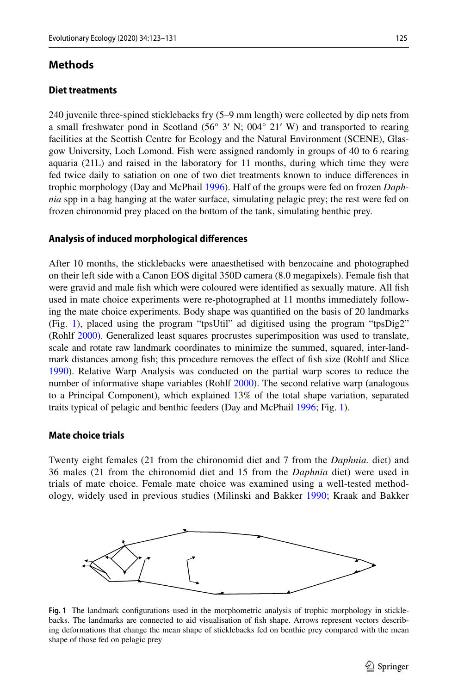# **Methods**

#### **Diet treatments**

240 juvenile three-spined sticklebacks fry (5–9 mm length) were collected by dip nets from a small freshwater pond in Scotland  $(56^{\circ} 3' N; 004^{\circ} 21' W)$  and transported to rearing facilities at the Scottish Centre for Ecology and the Natural Environment (SCENE), Glasgow University, Loch Lomond. Fish were assigned randomly in groups of 40 to 6 rearing aquaria (21L) and raised in the laboratory for 11 months, during which time they were fed twice daily to satiation on one of two diet treatments known to induce diferences in trophic morphology (Day and McPhail [1996\)](#page-7-3). Half of the groups were fed on frozen *Daphnia* spp in a bag hanging at the water surface, simulating pelagic prey; the rest were fed on frozen chironomid prey placed on the bottom of the tank, simulating benthic prey.

#### **Analysis of induced morphological diferences**

After 10 months, the sticklebacks were anaesthetised with benzocaine and photographed on their left side with a Canon EOS digital 350D camera (8.0 megapixels). Female fsh that were gravid and male fsh which were coloured were identifed as sexually mature. All fsh used in mate choice experiments were re-photographed at 11 months immediately following the mate choice experiments. Body shape was quantifed on the basis of 20 landmarks (Fig. [1\)](#page-2-0), placed using the program "tpsUtil" ad digitised using the program "tpsDig2" (Rohlf [2000](#page-8-12)). Generalized least squares procrustes superimposition was used to translate, scale and rotate raw landmark coordinates to minimize the summed, squared, inter-landmark distances among fsh; this procedure removes the efect of fsh size (Rohlf and Slice [1990\)](#page-8-13). Relative Warp Analysis was conducted on the partial warp scores to reduce the number of informative shape variables (Rohlf [2000](#page-8-12)). The second relative warp (analogous to a Principal Component), which explained 13% of the total shape variation, separated traits typical of pelagic and benthic feeders (Day and McPhail [1996](#page-7-3); Fig. [1](#page-2-0)).

#### **Mate choice trials**

Twenty eight females (21 from the chironomid diet and 7 from the *Daphnia.* diet) and 36 males (21 from the chironomid diet and 15 from the *Daphnia* diet) were used in trials of mate choice. Female mate choice was examined using a well-tested methodology, widely used in previous studies (Milinski and Bakker [1990](#page-7-10); Kraak and Bakker



<span id="page-2-0"></span>**Fig. 1** The landmark confgurations used in the morphometric analysis of trophic morphology in sticklebacks. The landmarks are connected to aid visualisation of fish shape. Arrows represent vectors describing deformations that change the mean shape of sticklebacks fed on benthic prey compared with the mean shape of those fed on pelagic prey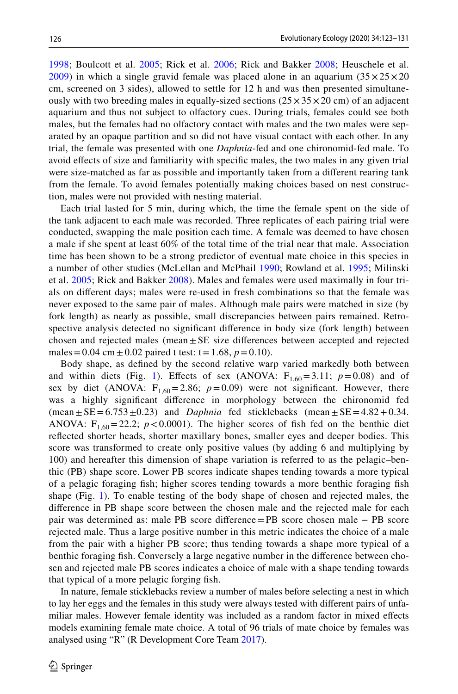[1998](#page-7-11); Boulcott et al. [2005](#page-7-12); Rick et al. [2006;](#page-8-14) Rick and Bakker [2008;](#page-8-15) Heuschele et al. [2009](#page-7-13)) in which a single gravid female was placed alone in an aquarium  $(35 \times 25 \times 20$ cm, screened on 3 sides), allowed to settle for 12 h and was then presented simultaneously with two breeding males in equally-sized sections  $(25 \times 35 \times 20 \text{ cm})$  of an adjacent aquarium and thus not subject to olfactory cues. During trials, females could see both males, but the females had no olfactory contact with males and the two males were separated by an opaque partition and so did not have visual contact with each other. In any trial, the female was presented with one *Daphnia*-fed and one chironomid-fed male. To avoid efects of size and familiarity with specifc males, the two males in any given trial were size-matched as far as possible and importantly taken from a diferent rearing tank from the female. To avoid females potentially making choices based on nest construction, males were not provided with nesting material.

Each trial lasted for 5 min, during which, the time the female spent on the side of the tank adjacent to each male was recorded. Three replicates of each pairing trial were conducted, swapping the male position each time. A female was deemed to have chosen a male if she spent at least 60% of the total time of the trial near that male. Association time has been shown to be a strong predictor of eventual mate choice in this species in a number of other studies (McLellan and McPhail [1990](#page-7-14); Rowland et al. [1995;](#page-8-16) Milinski et al. [2005](#page-7-15); Rick and Bakker [2008](#page-8-15)). Males and females were used maximally in four trials on diferent days; males were re-used in fresh combinations so that the female was never exposed to the same pair of males. Although male pairs were matched in size (by fork length) as nearly as possible, small discrepancies between pairs remained. Retrospective analysis detected no signifcant diference in body size (fork length) between chosen and rejected males (mean $\pm$  SE size differences between accepted and rejected males =  $0.04$  cm  $\pm 0.02$  paired t test: t = 1.68,  $p = 0.10$ ).

Body shape, as defned by the second relative warp varied markedly both between and within diets (Fig. [1\)](#page-2-0). Effects of sex (ANOVA:  $F_{1,60} = 3.11$ ;  $p = 0.08$ ) and of sex by diet (ANOVA:  $F_{1,60} = 2.86$ ;  $p = 0.09$ ) were not significant. However, there was a highly signifcant diference in morphology between the chironomid fed (mean  $\pm$  SE = 6.753 $\pm$ 0.23) and *Daphnia* fed sticklebacks (mean  $\pm$  SE = 4.82 + 0.34. ANOVA:  $F_{1,60} = 22.2$ ;  $p < 0.0001$ ). The higher scores of fish fed on the benthic diet refected shorter heads, shorter maxillary bones, smaller eyes and deeper bodies. This score was transformed to create only positive values (by adding 6 and multiplying by 100) and hereafter this dimension of shape variation is referred to as the pelagic–benthic (PB) shape score. Lower PB scores indicate shapes tending towards a more typical of a pelagic foraging fsh; higher scores tending towards a more benthic foraging fsh shape (Fig. [1\)](#page-2-0). To enable testing of the body shape of chosen and rejected males, the diference in PB shape score between the chosen male and the rejected male for each pair was determined as: male PB score diference=PB score chosen male − PB score rejected male. Thus a large positive number in this metric indicates the choice of a male from the pair with a higher PB score; thus tending towards a shape more typical of a benthic foraging fsh. Conversely a large negative number in the diference between chosen and rejected male PB scores indicates a choice of male with a shape tending towards that typical of a more pelagic forging fsh.

In nature, female sticklebacks review a number of males before selecting a nest in which to lay her eggs and the females in this study were always tested with diferent pairs of unfamiliar males. However female identity was included as a random factor in mixed efects models examining female mate choice. A total of 96 trials of mate choice by females was analysed using "R" (R Development Core Team [2017\)](#page-8-17).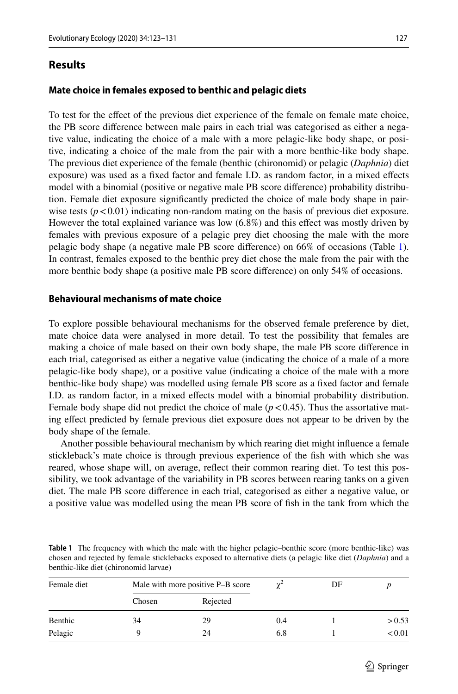# **Results**

To test for the efect of the previous diet experience of the female on female mate choice, the PB score diference between male pairs in each trial was categorised as either a negative value, indicating the choice of a male with a more pelagic-like body shape, or positive, indicating a choice of the male from the pair with a more benthic-like body shape. The previous diet experience of the female (benthic (chironomid) or pelagic (*Daphnia*) diet exposure) was used as a fxed factor and female I.D. as random factor, in a mixed efects model with a binomial (positive or negative male PB score diference) probability distribution. Female diet exposure signifcantly predicted the choice of male body shape in pairwise tests  $(p<0.01)$  indicating non-random mating on the basis of previous diet exposure. However the total explained variance was low (6.8%) and this efect was mostly driven by females with previous exposure of a pelagic prey diet choosing the male with the more pelagic body shape (a negative male PB score diference) on 66% of occasions (Table [1](#page-4-0)). In contrast, females exposed to the benthic prey diet chose the male from the pair with the more benthic body shape (a positive male PB score diference) on only 54% of occasions.

#### **Behavioural mechanisms of mate choice**

To explore possible behavioural mechanisms for the observed female preference by diet, mate choice data were analysed in more detail. To test the possibility that females are making a choice of male based on their own body shape, the male PB score diference in each trial, categorised as either a negative value (indicating the choice of a male of a more pelagic-like body shape), or a positive value (indicating a choice of the male with a more benthic-like body shape) was modelled using female PB score as a fxed factor and female I.D. as random factor, in a mixed efects model with a binomial probability distribution. Female body shape did not predict the choice of male  $(p < 0.45)$ . Thus the assortative mating efect predicted by female previous diet exposure does not appear to be driven by the body shape of the female.

Another possible behavioural mechanism by which rearing diet might infuence a female stickleback's mate choice is through previous experience of the fsh with which she was reared, whose shape will, on average, refect their common rearing diet. To test this possibility, we took advantage of the variability in PB scores between rearing tanks on a given diet. The male PB score diference in each trial, categorised as either a negative value, or a positive value was modelled using the mean PB score of fsh in the tank from which the

<span id="page-4-0"></span>**Table 1** The frequency with which the male with the higher pelagic–benthic score (more benthic-like) was chosen and rejected by female sticklebacks exposed to alternative diets (a pelagic like diet (*Daphnia*) and a benthic-like diet (chironomid larvae)

| Female diet | Male with more positive P-B score |          | $\mathbf{v}^2$ | DF |        |
|-------------|-----------------------------------|----------|----------------|----|--------|
|             | Chosen                            | Rejected |                |    |        |
| Benthic     | 34                                | 29       | 0.4            |    | > 0.53 |
| Pelagic     |                                   | 24       | 6.8            |    | < 0.01 |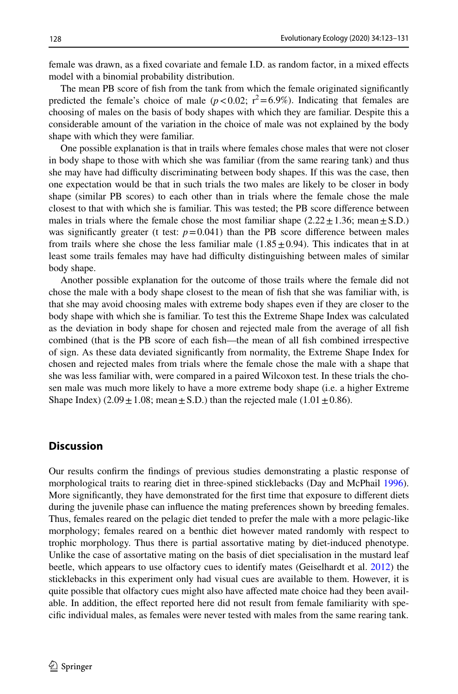female was drawn, as a fxed covariate and female I.D. as random factor, in a mixed efects model with a binomial probability distribution.

The mean PB score of fsh from the tank from which the female originated signifcantly predicted the female's choice of male  $(p<0.02; r^2=6.9\%)$ . Indicating that females are choosing of males on the basis of body shapes with which they are familiar. Despite this a considerable amount of the variation in the choice of male was not explained by the body shape with which they were familiar.

One possible explanation is that in trails where females chose males that were not closer in body shape to those with which she was familiar (from the same rearing tank) and thus she may have had difficulty discriminating between body shapes. If this was the case, then one expectation would be that in such trials the two males are likely to be closer in body shape (similar PB scores) to each other than in trials where the female chose the male closest to that with which she is familiar. This was tested; the PB score diference between males in trials where the female chose the most familiar shape  $(2.22 \pm 1.36;$  mean $\pm$ S.D.) was significantly greater (t test:  $p=0.041$ ) than the PB score difference between males from trails where she chose the less familiar male  $(1.85 \pm 0.94)$ . This indicates that in at least some trails females may have had difficulty distinguishing between males of similar body shape.

Another possible explanation for the outcome of those trails where the female did not chose the male with a body shape closest to the mean of fsh that she was familiar with, is that she may avoid choosing males with extreme body shapes even if they are closer to the body shape with which she is familiar. To test this the Extreme Shape Index was calculated as the deviation in body shape for chosen and rejected male from the average of all fsh combined (that is the PB score of each fsh—the mean of all fsh combined irrespective of sign. As these data deviated signifcantly from normality, the Extreme Shape Index for chosen and rejected males from trials where the female chose the male with a shape that she was less familiar with, were compared in a paired Wilcoxon test. In these trials the chosen male was much more likely to have a more extreme body shape (i.e. a higher Extreme Shape Index)  $(2.09 \pm 1.08; \text{mean} \pm \text{S.D.})$  than the rejected male  $(1.01 \pm 0.86)$ .

## **Discussion**

Our results confrm the fndings of previous studies demonstrating a plastic response of morphological traits to rearing diet in three-spined sticklebacks (Day and McPhail [1996](#page-7-3)). More signifcantly, they have demonstrated for the frst time that exposure to diferent diets during the juvenile phase can infuence the mating preferences shown by breeding females. Thus, females reared on the pelagic diet tended to prefer the male with a more pelagic-like morphology; females reared on a benthic diet however mated randomly with respect to trophic morphology. Thus there is partial assortative mating by diet-induced phenotype. Unlike the case of assortative mating on the basis of diet specialisation in the mustard leaf beetle, which appears to use olfactory cues to identify mates (Geiselhardt et al. [2012\)](#page-7-16) the sticklebacks in this experiment only had visual cues are available to them. However, it is quite possible that olfactory cues might also have afected mate choice had they been available. In addition, the efect reported here did not result from female familiarity with specifc individual males, as females were never tested with males from the same rearing tank.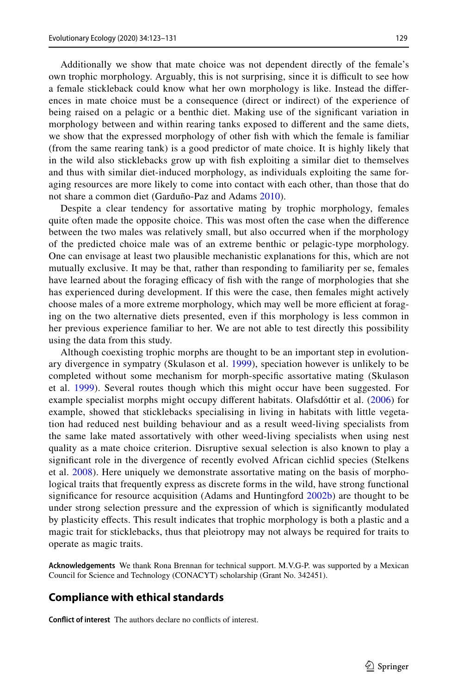Additionally we show that mate choice was not dependent directly of the female's own trophic morphology. Arguably, this is not surprising, since it is difficult to see how a female stickleback could know what her own morphology is like. Instead the diferences in mate choice must be a consequence (direct or indirect) of the experience of being raised on a pelagic or a benthic diet. Making use of the signifcant variation in morphology between and within rearing tanks exposed to diferent and the same diets, we show that the expressed morphology of other fsh with which the female is familiar (from the same rearing tank) is a good predictor of mate choice. It is highly likely that in the wild also sticklebacks grow up with fsh exploiting a similar diet to themselves and thus with similar diet-induced morphology, as individuals exploiting the same foraging resources are more likely to come into contact with each other, than those that do not share a common diet (Garduño-Paz and Adams [2010\)](#page-7-17).

Despite a clear tendency for assortative mating by trophic morphology, females quite often made the opposite choice. This was most often the case when the diference between the two males was relatively small, but also occurred when if the morphology of the predicted choice male was of an extreme benthic or pelagic-type morphology. One can envisage at least two plausible mechanistic explanations for this, which are not mutually exclusive. It may be that, rather than responding to familiarity per se, females have learned about the foraging efficacy of fish with the range of morphologies that she has experienced during development. If this were the case, then females might actively choose males of a more extreme morphology, which may well be more efficient at foraging on the two alternative diets presented, even if this morphology is less common in her previous experience familiar to her. We are not able to test directly this possibility using the data from this study.

Although coexisting trophic morphs are thought to be an important step in evolutionary divergence in sympatry (Skulason et al. [1999\)](#page-8-18), speciation however is unlikely to be completed without some mechanism for morph-specifc assortative mating (Skulason et al. [1999\)](#page-8-18). Several routes though which this might occur have been suggested. For example specialist morphs might occupy different habitats. Olafsdóttir et al. ([2006](#page-7-18)) for example, showed that sticklebacks specialising in living in habitats with little vegetation had reduced nest building behaviour and as a result weed-living specialists from the same lake mated assortatively with other weed-living specialists when using nest quality as a mate choice criterion. Disruptive sexual selection is also known to play a signifcant role in the divergence of recently evolved African cichlid species (Stelkens et al. [2008\)](#page-8-19). Here uniquely we demonstrate assortative mating on the basis of morphological traits that frequently express as discrete forms in the wild, have strong functional signifcance for resource acquisition (Adams and Huntingford [2002b\)](#page-7-19) are thought to be under strong selection pressure and the expression of which is signifcantly modulated by plasticity efects. This result indicates that trophic morphology is both a plastic and a magic trait for sticklebacks, thus that pleiotropy may not always be required for traits to operate as magic traits.

**Acknowledgements** We thank Rona Brennan for technical support. M.V.G-P. was supported by a Mexican Council for Science and Technology (CONACYT) scholarship (Grant No. 342451).

## **Compliance with ethical standards**

**Confict of interest** The authors declare no conficts of interest.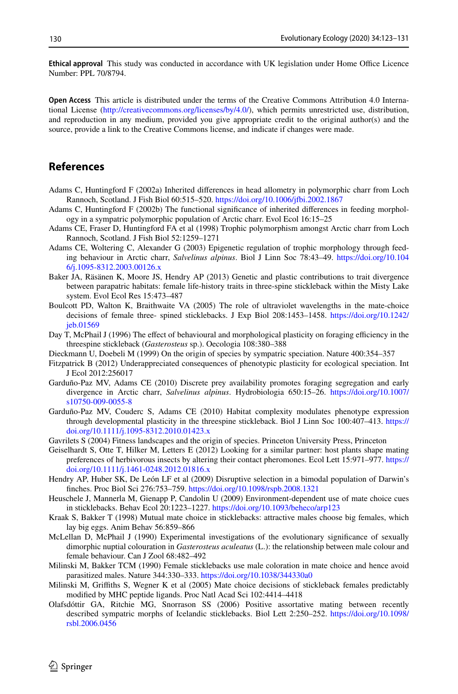**Ethical approval** This study was conducted in accordance with UK legislation under Home Office Licence Number: PPL 70/8794.

**Open Access** This article is distributed under the terms of the Creative Commons Attribution 4.0 International License ([http://creativecommons.org/licenses/by/4.0/\)](http://creativecommons.org/licenses/by/4.0/), which permits unrestricted use, distribution, and reproduction in any medium, provided you give appropriate credit to the original author(s) and the source, provide a link to the Creative Commons license, and indicate if changes were made.

## **References**

- <span id="page-7-5"></span>Adams C, Huntingford F (2002a) Inherited diferences in head allometry in polymorphic charr from Loch Rannoch, Scotland. J Fish Biol 60:515–520. <https://doi.org/10.1006/jfbi.2002.1867>
- <span id="page-7-19"></span>Adams C, Huntingford F (2002b) The functional signifcance of inherited diferences in feeding morphology in a sympatric polymorphic population of Arctic charr. Evol Ecol 16:15–25
- <span id="page-7-6"></span>Adams CE, Fraser D, Huntingford FA et al (1998) Trophic polymorphism amongst Arctic charr from Loch Rannoch, Scotland. J Fish Biol 52:1259–1271
- <span id="page-7-4"></span>Adams CE, Woltering C, Alexander G (2003) Epigenetic regulation of trophic morphology through feeding behaviour in Arctic charr, *Salvelinus alpinus*. Biol J Linn Soc 78:43–49. [https://doi.org/10.104](https://doi.org/10.1046/j.1095-8312.2003.00126.x) [6/j.1095-8312.2003.00126.x](https://doi.org/10.1046/j.1095-8312.2003.00126.x)
- <span id="page-7-9"></span>Baker JA, Räsänen K, Moore JS, Hendry AP (2013) Genetic and plastic contributions to trait divergence between parapatric habitats: female life-history traits in three-spine stickleback within the Misty Lake system. Evol Ecol Res 15:473–487
- <span id="page-7-12"></span>Boulcott PD, Walton K, Braithwaite VA (2005) The role of ultraviolet wavelengths in the mate-choice decisions of female three- spined sticklebacks. J Exp Biol 208:1453–1458. [https://doi.org/10.1242/](https://doi.org/10.1242/jeb.01569) [jeb.01569](https://doi.org/10.1242/jeb.01569)
- <span id="page-7-3"></span>Day T, McPhail J (1996) The effect of behavioural and morphological plasticity on foraging efficiency in the threespine stickleback (*Gasterosteus* sp.). Oecologia 108:380–388
- <span id="page-7-2"></span>Dieckmann U, Doebeli M (1999) On the origin of species by sympatric speciation. Nature 400:354–357
- <span id="page-7-1"></span>Fitzpatrick B (2012) Underappreciated consequences of phenotypic plasticity for ecological speciation. Int J Ecol 2012:256017
- <span id="page-7-17"></span>Garduño-Paz MV, Adams CE (2010) Discrete prey availability promotes foraging segregation and early divergence in Arctic charr, *Salvelinus alpinus*. Hydrobiologia 650:15–26. [https://doi.org/10.1007/](https://doi.org/10.1007/s10750-009-0055-8) [s10750-009-0055-8](https://doi.org/10.1007/s10750-009-0055-8)
- <span id="page-7-8"></span>Garduño-Paz MV, Couderc S, Adams CE (2010) Habitat complexity modulates phenotype expression through developmental plasticity in the threespine stickleback. Biol J Linn Soc 100:407–413. [https://](https://doi.org/10.1111/j.1095-8312.2010.01423.x) [doi.org/10.1111/j.1095-8312.2010.01423.x](https://doi.org/10.1111/j.1095-8312.2010.01423.x)
- <span id="page-7-0"></span>Gavrilets S (2004) Fitness landscapes and the origin of species. Princeton University Press, Princeton
- <span id="page-7-16"></span>Geiselhardt S, Otte T, Hilker M, Letters E (2012) Looking for a similar partner: host plants shape mating preferences of herbivorous insects by altering their contact pheromones. Ecol Lett 15:971–977. [https://](https://doi.org/10.1111/j.1461-0248.2012.01816.x) [doi.org/10.1111/j.1461-0248.2012.01816.x](https://doi.org/10.1111/j.1461-0248.2012.01816.x)
- <span id="page-7-7"></span>Hendry AP, Huber SK, De León LF et al (2009) Disruptive selection in a bimodal population of Darwin's fnches. Proc Biol Sci 276:753–759.<https://doi.org/10.1098/rspb.2008.1321>
- <span id="page-7-13"></span>Heuschele J, Mannerla M, Gienapp P, Candolin U (2009) Environment-dependent use of mate choice cues in sticklebacks. Behav Ecol 20:1223–1227. <https://doi.org/10.1093/beheco/arp123>
- <span id="page-7-11"></span>Kraak S, Bakker T (1998) Mutual mate choice in sticklebacks: attractive males choose big females, which lay big eggs. Anim Behav 56:859–866
- <span id="page-7-14"></span>McLellan D, McPhail J (1990) Experimental investigations of the evolutionary signifcance of sexually dimorphic nuptial colouration in *Gasterosteus aculeatus* (L.): the relationship between male colour and female behaviour. Can J Zool 68:482–492
- <span id="page-7-10"></span>Milinski M, Bakker TCM (1990) Female sticklebacks use male coloration in mate choice and hence avoid parasitized males. Nature 344:330–333. <https://doi.org/10.1038/344330a0>
- <span id="page-7-15"></span>Milinski M, Grifths S, Wegner K et al (2005) Mate choice decisions of stickleback females predictably modifed by MHC peptide ligands. Proc Natl Acad Sci 102:4414–4418
- <span id="page-7-18"></span>Olafsdóttir GA, Ritchie MG, Snorrason SS (2006) Positive assortative mating between recently described sympatric morphs of Icelandic sticklebacks. Biol Lett 2:250–252. [https://doi.org/10.1098/](https://doi.org/10.1098/rsbl.2006.0456) [rsbl.2006.0456](https://doi.org/10.1098/rsbl.2006.0456)